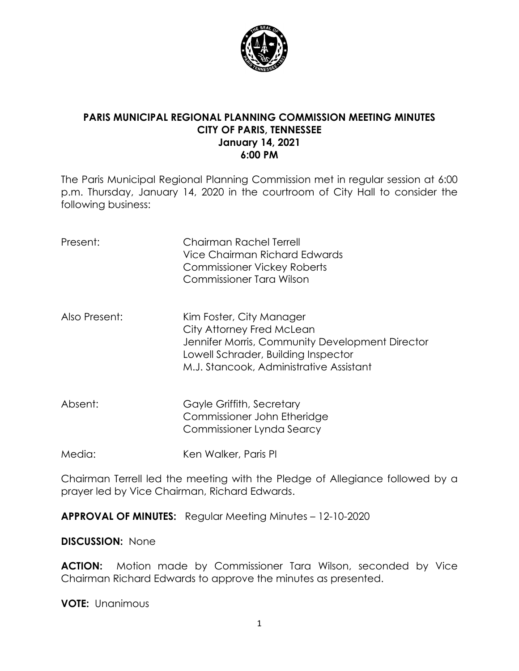

### **PARIS MUNICIPAL REGIONAL PLANNING COMMISSION MEETING MINUTES CITY OF PARIS, TENNESSEE January 14, 2021 6:00 PM**

The Paris Municipal Regional Planning Commission met in regular session at 6:00 p.m. Thursday, January 14, 2020 in the courtroom of City Hall to consider the following business:

| Present:      | Chairman Rachel Terrell<br>Vice Chairman Richard Edwards<br><b>Commissioner Vickey Roberts</b><br>Commissioner Tara Wilson                                                                 |
|---------------|--------------------------------------------------------------------------------------------------------------------------------------------------------------------------------------------|
| Also Present: | Kim Foster, City Manager<br>City Attorney Fred McLean<br>Jennifer Morris, Community Development Director<br>Lowell Schrader, Building Inspector<br>M.J. Stancook, Administrative Assistant |
| Absent:       | Gayle Griffith, Secretary<br>Commissioner John Etheridge<br>Commissioner Lynda Searcy                                                                                                      |
| Media:        | Ken Walker, Paris PI                                                                                                                                                                       |

Chairman Terrell led the meeting with the Pledge of Allegiance followed by a prayer led by Vice Chairman, Richard Edwards.

**APPROVAL OF MINUTES:** Regular Meeting Minutes – 12-10-2020

#### **DISCUSSION:** None

**ACTION:** Motion made by Commissioner Tara Wilson, seconded by Vice Chairman Richard Edwards to approve the minutes as presented.

**VOTE:** Unanimous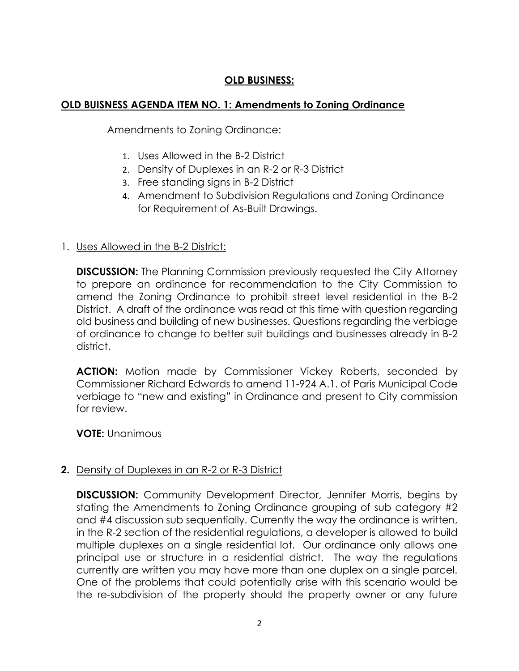# **OLD BUSINESS:**

### **OLD BUISNESS AGENDA ITEM NO. 1: Amendments to Zoning Ordinance**

Amendments to Zoning Ordinance:

- 1. Uses Allowed in the B-2 District
- 2. Density of Duplexes in an R-2 or R-3 District
- 3. Free standing signs in B-2 District
- 4. Amendment to Subdivision Regulations and Zoning Ordinance for Requirement of As-Built Drawings.

### 1. Uses Allowed in the B-2 District:

**DISCUSSION:** The Planning Commission previously requested the City Attorney to prepare an ordinance for recommendation to the City Commission to amend the Zoning Ordinance to prohibit street level residential in the B-2 District. A draft of the ordinance was read at this time with question regarding old business and building of new businesses. Questions regarding the verbiage of ordinance to change to better suit buildings and businesses already in B-2 district.

**ACTION:** Motion made by Commissioner Vickey Roberts, seconded by Commissioner Richard Edwards to amend 11-924 A.1. of Paris Municipal Code verbiage to "new and existing" in Ordinance and present to City commission for review.

**VOTE:** Unanimous

#### **2.** Density of Duplexes in an R-2 or R-3 District

**DISCUSSION:** Community Development Director, Jennifer Morris, begins by stating the Amendments to Zoning Ordinance grouping of sub category #2 and #4 discussion sub sequentially. Currently the way the ordinance is written, in the R-2 section of the residential regulations, a developer is allowed to build multiple duplexes on a single residential lot. Our ordinance only allows one principal use or structure in a residential district. The way the regulations currently are written you may have more than one duplex on a single parcel. One of the problems that could potentially arise with this scenario would be the re-subdivision of the property should the property owner or any future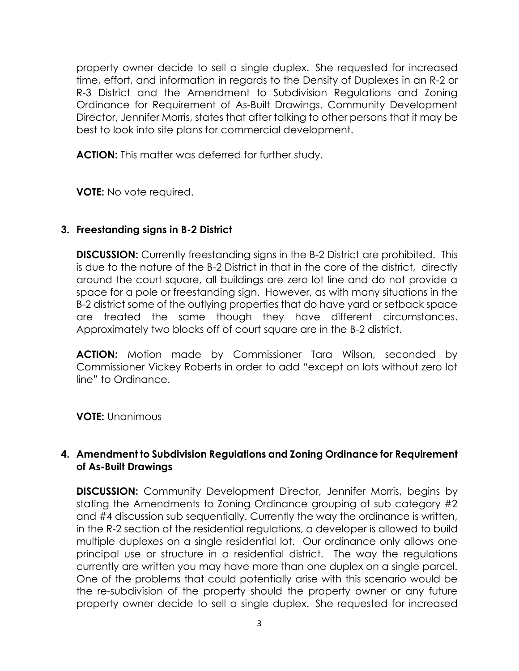property owner decide to sell a single duplex. She requested for increased time, effort, and information in regards to the Density of Duplexes in an R-2 or R-3 District and the Amendment to Subdivision Regulations and Zoning Ordinance for Requirement of As-Built Drawings. Community Development Director, Jennifer Morris, states that after talking to other persons that it may be best to look into site plans for commercial development.

**ACTION:** This matter was deferred for further study.

**VOTE:** No vote required.

# **3. Freestanding signs in B-2 District**

**DISCUSSION:** Currently freestanding signs in the B-2 District are prohibited. This is due to the nature of the B-2 District in that in the core of the district, directly around the court square, all buildings are zero lot line and do not provide a space for a pole or freestanding sign. However, as with many situations in the B-2 district some of the outlying properties that do have yard or setback space are treated the same though they have different circumstances. Approximately two blocks off of court square are in the B-2 district.

**ACTION:** Motion made by Commissioner Tara Wilson, seconded by Commissioner Vickey Roberts in order to add "except on lots without zero lot line" to Ordinance.

**VOTE:** Unanimous

# **4. Amendment to Subdivision Regulations and Zoning Ordinance for Requirement of As-Built Drawings**

**DISCUSSION:** Community Development Director, Jennifer Morris, begins by stating the Amendments to Zoning Ordinance grouping of sub category #2 and #4 discussion sub sequentially. Currently the way the ordinance is written, in the R-2 section of the residential regulations, a developer is allowed to build multiple duplexes on a single residential lot. Our ordinance only allows one principal use or structure in a residential district. The way the regulations currently are written you may have more than one duplex on a single parcel. One of the problems that could potentially arise with this scenario would be the re-subdivision of the property should the property owner or any future property owner decide to sell a single duplex. She requested for increased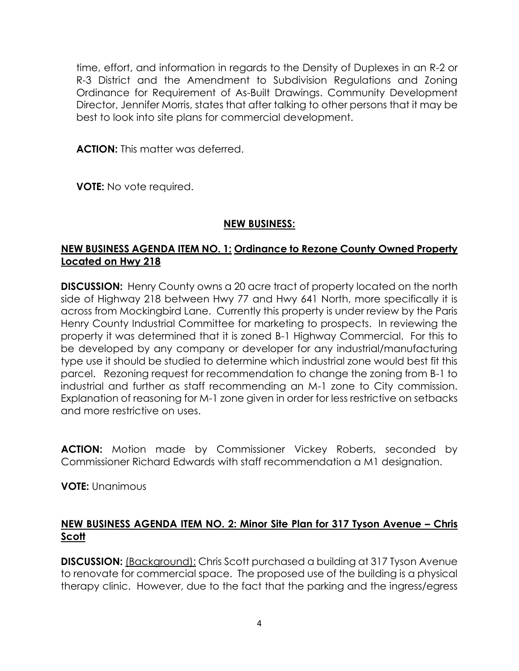time, effort, and information in regards to the Density of Duplexes in an R-2 or R-3 District and the Amendment to Subdivision Regulations and Zoning Ordinance for Requirement of As-Built Drawings. Community Development Director, Jennifer Morris, states that after talking to other persons that it may be best to look into site plans for commercial development.

ACTION: This matter was deferred.

**VOTE:** No vote required.

### **NEW BUSINESS:**

## **NEW BUSINESS AGENDA ITEM NO. 1: Ordinance to Rezone County Owned Property Located on Hwy 218**

**DISCUSSION:** Henry County owns a 20 acre tract of property located on the north side of Highway 218 between Hwy 77 and Hwy 641 North, more specifically it is across from Mockingbird Lane. Currently this property is under review by the Paris Henry County Industrial Committee for marketing to prospects. In reviewing the property it was determined that it is zoned B-1 Highway Commercial. For this to be developed by any company or developer for any industrial/manufacturing type use it should be studied to determine which industrial zone would best fit this parcel. Rezoning request for recommendation to change the zoning from B-1 to industrial and further as staff recommending an M-1 zone to City commission. Explanation of reasoning for M-1 zone given in order for less restrictive on setbacks and more restrictive on uses.

**ACTION:** Motion made by Commissioner Vickey Roberts, seconded by Commissioner Richard Edwards with staff recommendation a M1 designation.

**VOTE:** Unanimous

## **NEW BUSINESS AGENDA ITEM NO. 2: Minor Site Plan for 317 Tyson Avenue – Chris Scott**

**DISCUSSION:** (Background): Chris Scott purchased a building at 317 Tyson Avenue to renovate for commercial space. The proposed use of the building is a physical therapy clinic. However, due to the fact that the parking and the ingress/egress